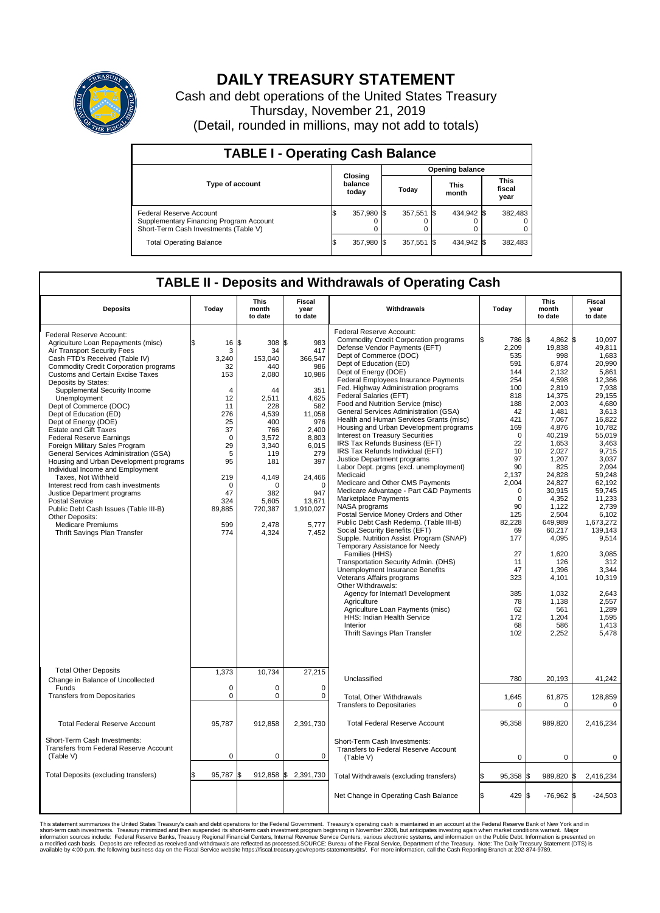

## **DAILY TREASURY STATEMENT**

Cash and debt operations of the United States Treasury Thursday, November 21, 2019 (Detail, rounded in millions, may not add to totals)

| <b>TABLE I - Operating Cash Balance</b>                                                                     |     |                             |                        |            |  |                      |  |                               |  |  |  |
|-------------------------------------------------------------------------------------------------------------|-----|-----------------------------|------------------------|------------|--|----------------------|--|-------------------------------|--|--|--|
|                                                                                                             |     |                             | <b>Opening balance</b> |            |  |                      |  |                               |  |  |  |
| <b>Type of account</b>                                                                                      |     | Closing<br>balance<br>today |                        | Today      |  | <b>This</b><br>month |  | <b>This</b><br>fiscal<br>year |  |  |  |
| Federal Reserve Account<br>Supplementary Financing Program Account<br>Short-Term Cash Investments (Table V) |     | 357,980 \$                  |                        | 357,551 \$ |  | 434,942 \$           |  | 382,483                       |  |  |  |
| <b>Total Operating Balance</b>                                                                              | I\$ | 357,980 \$                  |                        | 357,551 \$ |  | 434,942 \$           |  | 382,483                       |  |  |  |

## **TABLE II - Deposits and Withdrawals of Operating Cash**

| <b>Deposits</b>                                                                                                                                                                                                                                                                                                                                                                                                                                                                                                                                                                                                                                                                                                                                                                                                                                         | Today                                                                                                                                                                 | <b>This</b><br>month<br>to date                                                                                                                                                               | Fiscal<br>year<br>to date                                                                                                                                                                     | Withdrawals                                                                                                                                                                                                                                                                                                                                                                                                                                                                                                                                                                                                                                                                                                                                                                                                                                                                                                                                                                                                                                                                                                                                                                                                                                                                                                        | Today                                                                                                                                                                                                                                                                        | <b>This</b><br>month<br>to date                                                                                                                                                                                                                                                                                                    | Fiscal<br>year<br>to date                                                                                                                                                                                                                                                                                                                         |
|---------------------------------------------------------------------------------------------------------------------------------------------------------------------------------------------------------------------------------------------------------------------------------------------------------------------------------------------------------------------------------------------------------------------------------------------------------------------------------------------------------------------------------------------------------------------------------------------------------------------------------------------------------------------------------------------------------------------------------------------------------------------------------------------------------------------------------------------------------|-----------------------------------------------------------------------------------------------------------------------------------------------------------------------|-----------------------------------------------------------------------------------------------------------------------------------------------------------------------------------------------|-----------------------------------------------------------------------------------------------------------------------------------------------------------------------------------------------|--------------------------------------------------------------------------------------------------------------------------------------------------------------------------------------------------------------------------------------------------------------------------------------------------------------------------------------------------------------------------------------------------------------------------------------------------------------------------------------------------------------------------------------------------------------------------------------------------------------------------------------------------------------------------------------------------------------------------------------------------------------------------------------------------------------------------------------------------------------------------------------------------------------------------------------------------------------------------------------------------------------------------------------------------------------------------------------------------------------------------------------------------------------------------------------------------------------------------------------------------------------------------------------------------------------------|------------------------------------------------------------------------------------------------------------------------------------------------------------------------------------------------------------------------------------------------------------------------------|------------------------------------------------------------------------------------------------------------------------------------------------------------------------------------------------------------------------------------------------------------------------------------------------------------------------------------|---------------------------------------------------------------------------------------------------------------------------------------------------------------------------------------------------------------------------------------------------------------------------------------------------------------------------------------------------|
| Federal Reserve Account:<br>Agriculture Loan Repayments (misc)<br>Air Transport Security Fees<br>Cash FTD's Received (Table IV)<br><b>Commodity Credit Corporation programs</b><br><b>Customs and Certain Excise Taxes</b><br>Deposits by States:<br>Supplemental Security Income<br>Unemployment<br>Dept of Commerce (DOC)<br>Dept of Education (ED)<br>Dept of Energy (DOE)<br><b>Estate and Gift Taxes</b><br><b>Federal Reserve Earnings</b><br>Foreign Military Sales Program<br>General Services Administration (GSA)<br>Housing and Urban Development programs<br>Individual Income and Employment<br>Taxes, Not Withheld<br>Interest recd from cash investments<br>Justice Department programs<br><b>Postal Service</b><br>Public Debt Cash Issues (Table III-B)<br>Other Deposits:<br><b>Medicare Premiums</b><br>Thrift Savings Plan Transfer | 16<br>\$<br>3<br>3,240<br>32<br>153<br>$\overline{4}$<br>12<br>11<br>276<br>25<br>37<br>0<br>29<br>5<br>95<br>219<br>$\mathbf 0$<br>47<br>324<br>89,885<br>599<br>774 | l\$<br>308 \$<br>34<br>153,040<br>440<br>2,080<br>44<br>2,511<br>228<br>4,539<br>400<br>766<br>3,572<br>3,340<br>119<br>181<br>4,149<br>$\Omega$<br>382<br>5,605<br>720,387<br>2.478<br>4,324 | 983<br>417<br>366,547<br>986<br>10,986<br>351<br>4,625<br>582<br>11,058<br>976<br>2.400<br>8,803<br>6,015<br>279<br>397<br>24,466<br>$\Omega$<br>947<br>13,671<br>1,910,027<br>5.777<br>7,452 | Federal Reserve Account:<br><b>Commodity Credit Corporation programs</b><br>Defense Vendor Payments (EFT)<br>Dept of Commerce (DOC)<br>Dept of Education (ED)<br>Dept of Energy (DOE)<br><b>Federal Employees Insurance Payments</b><br>Fed. Highway Administration programs<br>Federal Salaries (EFT)<br>Food and Nutrition Service (misc)<br>General Services Administration (GSA)<br>Health and Human Services Grants (misc)<br>Housing and Urban Development programs<br>Interest on Treasury Securities<br>IRS Tax Refunds Business (EFT)<br>IRS Tax Refunds Individual (EFT)<br>Justice Department programs<br>Labor Dept. prgms (excl. unemployment)<br>Medicaid<br>Medicare and Other CMS Payments<br>Medicare Advantage - Part C&D Payments<br>Marketplace Payments<br>NASA programs<br>Postal Service Money Orders and Other<br>Public Debt Cash Redemp. (Table III-B)<br>Social Security Benefits (EFT)<br>Supple. Nutrition Assist. Program (SNAP)<br>Temporary Assistance for Needy<br>Families (HHS)<br>Transportation Security Admin. (DHS)<br>Unemployment Insurance Benefits<br>Veterans Affairs programs<br>Other Withdrawals:<br>Agency for Internat'l Development<br>Agriculture<br>Agriculture Loan Payments (misc)<br>HHS: Indian Health Service<br>Interior<br>Thrift Savings Plan Transfer | 786 \$<br>2,209<br>535<br>591<br>144<br>254<br>100<br>818<br>188<br>42<br>421<br>169<br>$\mathbf 0$<br>22<br>10<br>97<br>90<br>2,137<br>2,004<br>$\mathbf 0$<br>$\Omega$<br>90<br>125<br>82,228<br>69<br>177<br>27<br>11<br>47<br>323<br>385<br>78<br>62<br>172<br>68<br>102 | 4,862 \$<br>19,838<br>998<br>6,874<br>2,132<br>4,598<br>2,819<br>14,375<br>2,003<br>1,481<br>7,067<br>4,876<br>40.219<br>1,653<br>2,027<br>1,207<br>825<br>24,828<br>24,827<br>30,915<br>4,352<br>1.122<br>2,504<br>649,989<br>60,217<br>4,095<br>1,620<br>126<br>1,396<br>4,101<br>1.032<br>1,138<br>561<br>1,204<br>586<br>2,252 | 10.097<br>49.811<br>1,683<br>20,990<br>5,861<br>12.366<br>7,938<br>29,155<br>4,680<br>3.613<br>16,822<br>10,782<br>55.019<br>3,463<br>9,715<br>3,037<br>2.094<br>59,248<br>62,192<br>59,745<br>11,233<br>2.739<br>6,102<br>1,673,272<br>139.143<br>9,514<br>3,085<br>312<br>3,344<br>10,319<br>2.643<br>2,557<br>1,289<br>1.595<br>1,413<br>5,478 |
| <b>Total Other Deposits</b><br>Change in Balance of Uncollected<br>Funds<br><b>Transfers from Depositaries</b>                                                                                                                                                                                                                                                                                                                                                                                                                                                                                                                                                                                                                                                                                                                                          | 1,373<br>$\mathbf 0$<br>$\mathbf 0$                                                                                                                                   | 10,734<br>$\Omega$<br>0                                                                                                                                                                       | 27,215<br>0<br>$\mathbf 0$                                                                                                                                                                    | Unclassified<br>Total, Other Withdrawals<br><b>Transfers to Depositaries</b>                                                                                                                                                                                                                                                                                                                                                                                                                                                                                                                                                                                                                                                                                                                                                                                                                                                                                                                                                                                                                                                                                                                                                                                                                                       | 780<br>1,645<br>$\mathbf 0$                                                                                                                                                                                                                                                  | 20,193<br>61,875<br>$\mathbf 0$                                                                                                                                                                                                                                                                                                    | 41,242<br>128,859<br>$\mathbf 0$                                                                                                                                                                                                                                                                                                                  |
| <b>Total Federal Reserve Account</b>                                                                                                                                                                                                                                                                                                                                                                                                                                                                                                                                                                                                                                                                                                                                                                                                                    | 95,787                                                                                                                                                                | 912,858                                                                                                                                                                                       | 2,391,730                                                                                                                                                                                     | <b>Total Federal Reserve Account</b>                                                                                                                                                                                                                                                                                                                                                                                                                                                                                                                                                                                                                                                                                                                                                                                                                                                                                                                                                                                                                                                                                                                                                                                                                                                                               | 95,358                                                                                                                                                                                                                                                                       | 989,820                                                                                                                                                                                                                                                                                                                            | 2,416,234                                                                                                                                                                                                                                                                                                                                         |
| Short-Term Cash Investments:<br>Transfers from Federal Reserve Account<br>(Table V)                                                                                                                                                                                                                                                                                                                                                                                                                                                                                                                                                                                                                                                                                                                                                                     | $\mathbf 0$                                                                                                                                                           | 0                                                                                                                                                                                             | $\mathbf 0$                                                                                                                                                                                   | Short-Term Cash Investments:<br>Transfers to Federal Reserve Account<br>(Table V)                                                                                                                                                                                                                                                                                                                                                                                                                                                                                                                                                                                                                                                                                                                                                                                                                                                                                                                                                                                                                                                                                                                                                                                                                                  | $\mathbf 0$                                                                                                                                                                                                                                                                  | 0                                                                                                                                                                                                                                                                                                                                  | 0                                                                                                                                                                                                                                                                                                                                                 |
| Total Deposits (excluding transfers)                                                                                                                                                                                                                                                                                                                                                                                                                                                                                                                                                                                                                                                                                                                                                                                                                    | 95,787                                                                                                                                                                | $912,858$ \$<br>\$                                                                                                                                                                            | 2,391,730                                                                                                                                                                                     | Total Withdrawals (excluding transfers)                                                                                                                                                                                                                                                                                                                                                                                                                                                                                                                                                                                                                                                                                                                                                                                                                                                                                                                                                                                                                                                                                                                                                                                                                                                                            | 95,358                                                                                                                                                                                                                                                                       | 989,820 \$                                                                                                                                                                                                                                                                                                                         | 2,416,234                                                                                                                                                                                                                                                                                                                                         |
|                                                                                                                                                                                                                                                                                                                                                                                                                                                                                                                                                                                                                                                                                                                                                                                                                                                         |                                                                                                                                                                       |                                                                                                                                                                                               |                                                                                                                                                                                               | Net Change in Operating Cash Balance                                                                                                                                                                                                                                                                                                                                                                                                                                                                                                                                                                                                                                                                                                                                                                                                                                                                                                                                                                                                                                                                                                                                                                                                                                                                               | æ.<br>429 \$                                                                                                                                                                                                                                                                 | $-76,962$ \$                                                                                                                                                                                                                                                                                                                       | $-24,503$                                                                                                                                                                                                                                                                                                                                         |

This statement summarizes the United States Treasury's cash and debt operations for the Federal Government. Treasury soperating in November 2008, but anticiarded in a cocount at the Federal metaformation sources investment